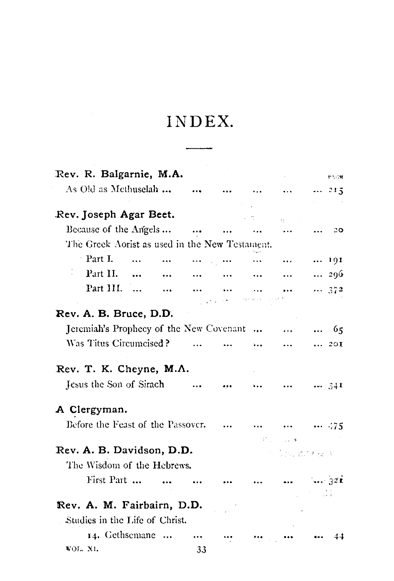## INDEX.

| Rev. R. Balgarnie, M.A.                        |    |  |              |              | 12.08 |
|------------------------------------------------|----|--|--------------|--------------|-------|
| As Old as Methuselah                           |    |  |              |              | 215   |
| Rev. Joseph Agar Beet.                         |    |  |              |              |       |
| Because of the Angels                          |    |  |              |              | 20    |
| The Greek Aorist as used in the New Testament. |    |  |              |              |       |
| Part I.<br>$\cdots$<br>$\ddotsc$               |    |  |              | 191          |       |
| Part II.<br>$\ddotsc$                          |    |  |              | 296          |       |
| Part III.<br>$\ddotsc$<br>$\ddotsc$            |    |  |              | 372          |       |
|                                                |    |  |              |              |       |
| Rev. A. B. Bruce, D.D.                         |    |  |              |              |       |
| Jeremiah's Prophecy of the New Covenant        |    |  |              |              |       |
| Was Titus Circumcised?                         |    |  |              |              | 20I   |
| Rev. T. K. Cheyne, M.A.                        |    |  |              |              |       |
| Jesus the Son of Sirach                        |    |  |              | $\cdots$ 341 |       |
| A Clergyman.                                   |    |  |              |              |       |
| Before the Feast of the Passover.              |    |  |              | $ \cdot .75$ |       |
|                                                |    |  | グリールは        |              |       |
| Rev. A. B. Davidson, D.D.                      |    |  | 1975) 抗に入り上げ |              |       |
| The Wisdom of the Hebrews.                     |    |  |              |              |       |
| First Part                                     |    |  |              | 72E          |       |
|                                                |    |  |              |              |       |
| Rev. A. M. Fairbairn, D.D.                     |    |  |              |              |       |
| Studies in the Life of Christ.                 |    |  |              |              |       |
| 14. Gethsemane                                 |    |  |              |              |       |
| VOL. XI.                                       | 33 |  |              |              |       |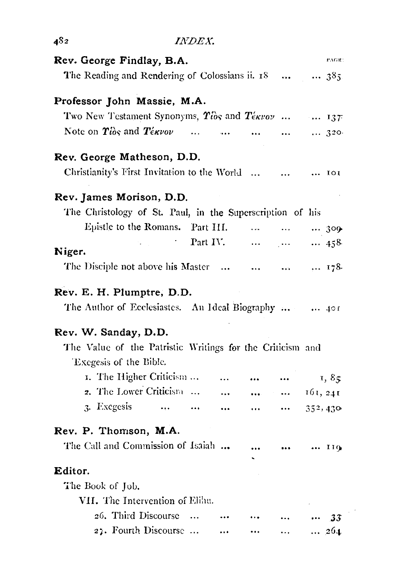| 482                                                                                                      |                     | INDEX.    |           |                                              |                                                                 |                  |
|----------------------------------------------------------------------------------------------------------|---------------------|-----------|-----------|----------------------------------------------|-----------------------------------------------------------------|------------------|
| Rev. George Findlay, B.A.                                                                                |                     |           |           |                                              |                                                                 | PAGE:            |
| The Reading and Rendering of Colossians ii. 18                                                           |                     |           |           |                                              |                                                                 | 385              |
| Professor John Massie, M.A.                                                                              |                     |           |           |                                              |                                                                 |                  |
| Two New Testament Synonyms, $\hat{T}_{\text{obs}}$ and $\hat{T}_{\text{0}}$ and $\hat{T}_{\text{0}}$ 137 |                     |           |           |                                              |                                                                 |                  |
| Note on $\hat{\mathbf{T}}$ ios and $\hat{\mathbf{T}}$ é $\kappa\nu o\nu$                                 |                     | $\ddotsc$ |           |                                              | $\bullet$ .<br><br><br><br><br><br><br><br><br><br><br><br><br> | $\ldots$ 320     |
| Rev. George Matheson, D.D.                                                                               |                     |           |           |                                              |                                                                 |                  |
| Christianity's First Invitation to the World                                                             |                     |           |           |                                              | $\sim$                                                          | $\cdots$ IOI     |
| Rev. James Morison, D.D.                                                                                 |                     |           |           |                                              |                                                                 |                  |
| The Christology of St. Paul, in the Superscription of his                                                |                     |           |           |                                              |                                                                 |                  |
| Epistle to the Romans.                                                                                   |                     | Part III. |           | says and says.                               |                                                                 | $\cdots$ 300     |
| Niger.                                                                                                   | $\sigma_{\rm{max}}$ |           | Part IV.  | $\sim 1000$ km s $^{-1}$                     | $\sim 0.000$ .                                                  | $\cdots$ 458     |
| The Disciple not above his Master                                                                        |                     |           |           | $\cdots$                                     | $\bullet$ . $\bullet$                                           | 178              |
| Rev. E. H. Plumptre, D.D.                                                                                |                     |           |           |                                              |                                                                 |                  |
| The Author of Ecclesiastes. An Ideal Biography   401                                                     |                     |           |           |                                              |                                                                 |                  |
| Rev. W. Sanday, D.D.                                                                                     |                     |           |           |                                              |                                                                 |                  |
| The Value of the Patristic Writings for the Criticism and<br>'Excgesis of the Bible.                     |                     |           |           |                                              |                                                                 |                  |
| 1. The Higher Criticism                                                                                  |                     |           | $\ddotsc$ | $\cdots$                                     |                                                                 | 1,85             |
| 2. The Lower Criticism                                                                                   |                     |           | $\cdots$  | $\bullet\bullet\bullet\bullet\bullet\bullet$ |                                                                 | $\dots$ 161, 241 |
| 3. Exegesis                                                                                              | $\ldots$            | $\cdots$  | $\ddotsc$ | $\cdots$                                     | $\cdots$                                                        | 352,430          |
| Rev. P. Thomson, M.A.                                                                                    |                     |           |           |                                              |                                                                 |                  |
| The Call and Commission of Isaiah                                                                        |                     |           |           |                                              | $\cdots$                                                        | $$ $110$         |
| Editor.                                                                                                  |                     |           |           |                                              |                                                                 |                  |
| The Book of Job.                                                                                         |                     |           |           |                                              |                                                                 |                  |
| VII. The Intervention of Elihu.                                                                          |                     |           |           |                                              |                                                                 |                  |
| 26. Third Discourse                                                                                      |                     |           | $\cdots$  |                                              |                                                                 | - 33             |
| 27. Fourth Discourse                                                                                     |                     |           | $\cdots$  |                                              | $\ddotsc$                                                       | $\ldots$ 264     |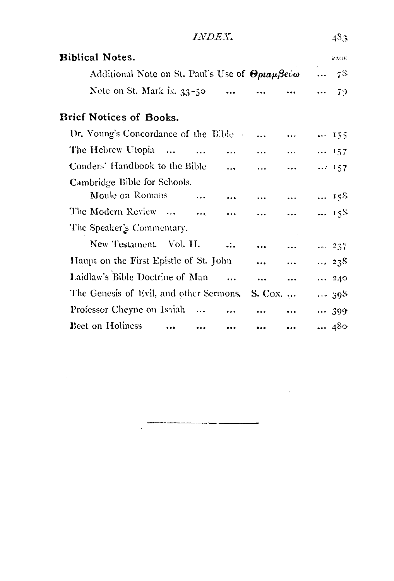| <i>INDEX.</i>                                                                                   |                           |           |           |           |          | 48.3        |  |  |
|-------------------------------------------------------------------------------------------------|---------------------------|-----------|-----------|-----------|----------|-------------|--|--|
| <b>Biblical Notes.</b>                                                                          |                           |           |           |           |          | PAGE        |  |  |
| Additional Note on St. Paul's Use of $\Theta \rho \iota \alpha \mu \beta \epsilon \iota \omega$ |                           |           |           |           |          | $\ldots$ 78 |  |  |
| Nete on St. Mark ix. 33-50                                                                      |                           |           |           |           | $\cdots$ | - 79        |  |  |
| Brief Notices of Books.                                                                         |                           |           |           |           |          |             |  |  |
| Dr. Young's Concordance of the Bible                                                            |                           |           | $\ddotsc$ | $\ddotsc$ | 155      |             |  |  |
| The Hebrew Utopia                                                                               | $\ddotsc$                 |           | $\ddotsc$ | $\cdots$  |          | 157         |  |  |
| Conders' Handbook to the Bible                                                                  |                           | $\ddotsc$ | $\ddotsc$ | $\ddotsc$ |          | 157         |  |  |
| Cambridge Bible for Schools.                                                                    |                           |           |           |           |          |             |  |  |
| Moule on Romans                                                                                 | $\ddotsc$                 |           | $\ddotsc$ |           |          | $$ 158      |  |  |
| The Modern Review                                                                               | $\sim 100$ and $\sim 100$ |           |           |           |          | 158         |  |  |
| The Speaker's Commentary.                                                                       |                           |           |           |           |          |             |  |  |
| New Testament. Vol. II.                                                                         |                           | $\ddotsc$ |           |           |          | 237         |  |  |
| Haupt on the First Epistle of St. John                                                          |                           |           |           |           |          | 238         |  |  |
| Laidlaw's Bible Doctrine of Man                                                                 |                           | $\ddotsc$ |           |           |          | 240         |  |  |
| The Genesis of Evil, and other Sermons.                                                         |                           |           | S. Cox.   |           |          | 398         |  |  |
| Professor Cheyne on Isaiah                                                                      |                           |           |           |           |          | 399         |  |  |
| <b>Bect on Holiness</b>                                                                         |                           |           |           |           |          | 480         |  |  |

 $\frac{1}{2} \left( \frac{1}{2} \left( \frac{1}{2} \right) + \frac{1}{2} \left( \frac{1}{2} \right) + \frac{1}{2} \left( \frac{1}{2} \right) + \frac{1}{2} \left( \frac{1}{2} \right) + \frac{1}{2} \left( \frac{1}{2} \right) + \frac{1}{2} \left( \frac{1}{2} \right) + \frac{1}{2} \left( \frac{1}{2} \right) + \frac{1}{2} \left( \frac{1}{2} \right) + \frac{1}{2} \left( \frac{1}{2} \right) + \frac{1}{2} \left( \frac{1}{2} \right) +$ 

 $\label{eq:2.1} \mathcal{L}(\mathcal{L}^{\text{max}}_{\text{max}}(\mathcal{L}^{\text{max}}_{\text{max}}(\mathcal{L}^{\text{max}}_{\text{max}}(\mathcal{L}^{\text{max}}_{\text{max}}(\mathcal{L}^{\text{max}}_{\text{max}}(\mathcal{L}^{\text{max}}_{\text{max}}(\mathcal{L}^{\text{max}}_{\text{max}}(\mathcal{L}^{\text{max}}_{\text{max}}(\mathcal{L}^{\text{max}}_{\text{max}}(\mathcal{L}^{\text{max}}_{\text{max}}(\mathcal{L}^{\text{max}}_{\text{max}}(\mathcal{L}^$